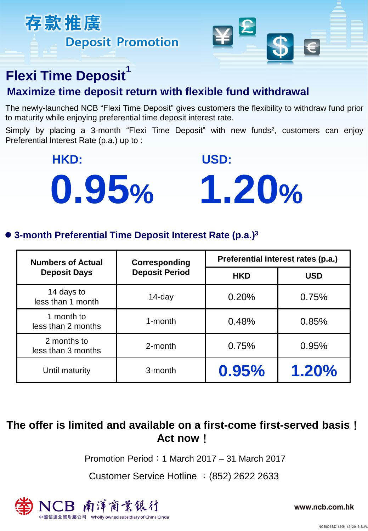



## **Flexi Time Deposit<sup>1</sup>**

## **Maximize time deposit return with flexible fund withdrawal**

The newly-launched NCB "Flexi Time Deposit" gives customers the flexibility to withdraw fund prior to maturity while enjoying preferential time deposit interest rate.

Simply by placing a 3-month "Flexi Time Deposit" with new funds<sup>2</sup>, customers can enjoy Preferential Interest Rate (p.a.) up to :

**HKD: USD:**



### **3-month Preferential Time Deposit Interest Rate (p.a.)<sup>3</sup>**

| <b>Numbers of Actual</b><br><b>Deposit Days</b> | Corresponding<br><b>Deposit Period</b> | Preferential interest rates (p.a.) |            |
|-------------------------------------------------|----------------------------------------|------------------------------------|------------|
|                                                 |                                        | <b>HKD</b>                         | <b>USD</b> |
| 14 days to<br>less than 1 month                 | $14$ -day                              | 0.20%                              | 0.75%      |
| 1 month to<br>less than 2 months                | 1-month                                | 0.48%                              | 0.85%      |
| 2 months to<br>less than 3 months               | 2-month                                | 0.75%                              | 0.95%      |
| Until maturity                                  | 3-month                                | 0.95%                              | 1.20%      |

## **The offer is limited and available on a first-come first-served basis**! **Act now**!

Promotion Period:1 March 2017 – 31 March 2017

Customer Service Hotline :(852) 2622 2633



www.ncb.com.hk